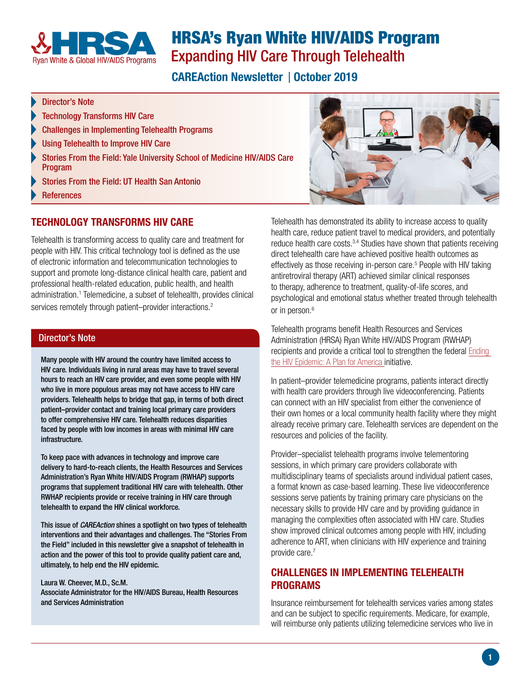<span id="page-0-2"></span>

# HRSA's Ryan White HIV/AIDS Program Expanding HIV Care Through Telehealth

**CAREAction Newsletter | October 2019** 

- Director's Note
- [Technology Transforms HIV Care](#page-0-0)
- [Challenges in Implementing Telehealth Programs](#page-0-1)
- [Using Telehealth to Improve HIV Care](#page-1-0)
- [Stories From the Field: Yale University School of Medicine HIV/AIDS Care](#page-1-1)  [Program](#page-1-1)
- [Stories From the Field: UT Health San Antonio](#page-2-0)
- [References](#page-2-1)

#### <span id="page-0-0"></span>TECHNOLOGY TRANSFORMS HIV CARE

Telehealth is transforming access to quality care and treatment for people with HIV. This critical technology tool is defined as the use of electronic information and telecommunication technologies to support and promote long-distance clinical health care, patient and professional health-related education, public health, and health administration.<sup>[1](#page-2-1)</sup> Telemedicine, a subset of telehealth, provides clinical services remotely through patient–provider interactions.<sup>[2](#page-2-1)</sup>

#### Director's Note

Many people with HIV around the country have limited access to HIV care. Individuals living in rural areas may have to travel several hours to reach an HIV care provider, and even some people with HIV who live in more populous areas may not have access to HIV care providers. Telehealth helps to bridge that gap, in terms of both direct patient–provider contact and training local primary care providers to offer comprehensive HIV care. Telehealth reduces disparities faced by people with low incomes in areas with minimal HIV care infrastructure.

To keep pace with advances in technology and improve care delivery to hard-to-reach clients, the Health Resources and Services Administration's Ryan White HIV/AIDS Program (RWHAP) supports programs that supplement traditional HIV care with telehealth. Other RWHAP recipients provide or receive training in HIV care through telehealth to expand the HIV clinical workforce.

This issue of *CAREAction* shines a spotlight on two types of telehealth interventions and their advantages and challenges. The "Stories From the Field" included in this newsletter give a snapshot of telehealth in action and the power of this tool to provide quality patient care and, ultimately, to help end the HIV epidemic.

Laura W. Cheever, M.D., Sc.M. Associate Administrator for the HIV/AIDS Bureau, Health Resources and Services Administration



Telehealth has demonstrated its ability to increase access to quality health care, reduce patient travel to medical providers, and potentially reduce health care costs.<sup>[3,4](#page-2-1)</sup> Studies have shown that patients receiving direct telehealth care have achieved positive health outcomes as effectively as those receiving in-person care.<sup>5</sup> People with HIV taking antiretroviral therapy (ART) achieved similar clinical responses to therapy, adherence to treatment, quality-of-life scores, and psychological and emotional status whether treated through telehealth or in person.<sup>[6](#page-2-1)</sup>

Telehealth programs benefit Health Resources and Services Administration (HRSA) Ryan White HIV/AIDS Program (RWHAP) recipients and provide a critical tool to strengthen the federal [Ending](https://www.hiv.gov/federal-response/ending-the-hiv-epidemic/overview)  [the HIV Epidemic: A Plan for America](https://www.hiv.gov/federal-response/ending-the-hiv-epidemic/overview) initiative.

In patient–provider telemedicine programs, patients interact directly with health care providers through live videoconferencing. Patients can connect with an HIV specialist from either the convenience of their own homes or a local community health facility where they might already receive primary care. Telehealth services are dependent on the resources and policies of the facility.

Provider–specialist telehealth programs involve telementoring sessions, in which primary care providers collaborate with multidisciplinary teams of specialists around individual patient cases, a format known as case-based learning. These live videoconference sessions serve patients by training primary care physicians on the necessary skills to provide HIV care and by providing guidance in managing the complexities often associated with HIV care. Studies show improved clinical outcomes among people with HIV, including adherence to ART, when clinicians with HIV experience and training provide care.<sup>[7](#page-2-1)</sup>

# <span id="page-0-1"></span>CHALLENGES IN IMPLEMENTING TELEHEALTH PROGRAMS

Insurance reimbursement for telehealth services varies among states and can be subject to specific requirements. Medicare, for example, will reimburse only patients utilizing telemedicine services who live in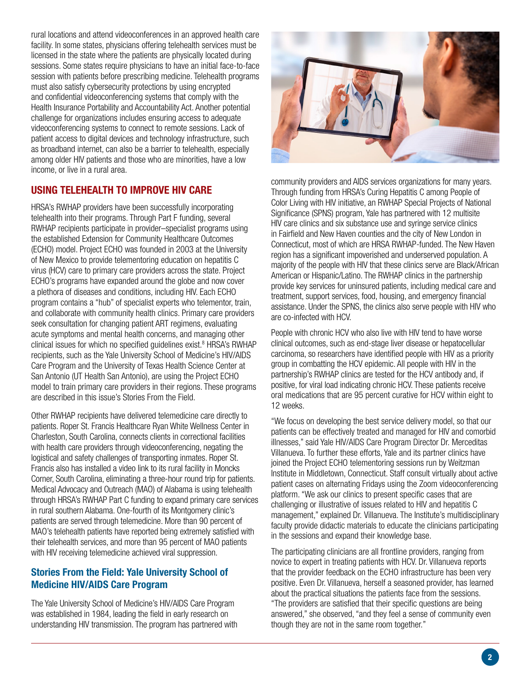<span id="page-1-2"></span>rural locations and attend videoconferences in an approved health care facility. In some states, physicians offering telehealth services must be licensed in the state where the patients are physically located during sessions. Some states require physicians to have an initial face-to-face session with patients before prescribing medicine. Telehealth programs must also satisfy cybersecurity protections by using encrypted and confidential videoconferencing systems that comply with the Health Insurance Portability and Accountability Act. Another potential challenge for organizations includes ensuring access to adequate videoconferencing systems to connect to remote sessions. Lack of patient access to digital devices and technology infrastructure, such as broadband internet, can also be a barrier to telehealth, especially among older HIV patients and those who are minorities, have a low income, or live in a rural area.

# <span id="page-1-0"></span>USING TELEHEALTH TO IMPROVE HIV CARE

HRSA's RWHAP providers have been successfully incorporating telehealth into their programs. Through Part F funding, several RWHAP recipients participate in provider–specialist programs using the established Extension for Community Healthcare Outcomes (ECHO) model. Project ECHO was founded in 2003 at the University of New Mexico to provide telementoring education on hepatitis C virus (HCV) care to primary care providers across the state. Project ECHO's programs have expanded around the globe and now cover a plethora of diseases and conditions, including HIV. Each ECHO program contains a "hub" of specialist experts who telementor, train, and collaborate with community health clinics. Primary care providers seek consultation for changing patient ART regimens, evaluating acute symptoms and mental health concerns, and managing other clinical issues for which no specified guidelines exist.<sup>8</sup> HRSA's RWHAP recipients, such as the Yale University School of Medicine's HIV/AIDS Care Program and the University of Texas Health Science Center at San Antonio (UT Health San Antonio), are using the Project ECHO model to train primary care providers in their regions. These programs are described in this issue's Stories From the Field.

Other RWHAP recipients have delivered telemedicine care directly to patients. Roper St. Francis Healthcare Ryan White Wellness Center in Charleston, South Carolina, connects clients in correctional facilities with health care providers through videoconferencing, negating the logistical and safety challenges of transporting inmates. Roper St. Francis also has installed a video link to its rural facility in Moncks Corner, South Carolina, eliminating a three-hour round trip for patients. Medical Advocacy and Outreach (MAO) of Alabama is using telehealth through HRSA's RWHAP Part C funding to expand primary care services in rural southern Alabama. One-fourth of its Montgomery clinic's patients are served through telemedicine. More than 90 percent of MAO's telehealth patients have reported being extremely satisfied with their telehealth services, and more than 95 percent of MAO patients with HIV receiving telemedicine achieved viral suppression.

### <span id="page-1-1"></span>Stories From the Field: Yale University School of Medicine HIV/AIDS Care Program

The Yale University School of Medicine's HIV/AIDS Care Program was established in 1984, leading the field in early research on understanding HIV transmission. The program has partnered with



community providers and AIDS services organizations for many years. Through funding from HRSA's Curing Hepatitis C among People of Color Living with HIV initiative, an RWHAP Special Projects of National Significance (SPNS) program, Yale has partnered with 12 multisite HIV care clinics and six substance use and syringe service clinics in Fairfield and New Haven counties and the city of New London in Connecticut, most of which are HRSA RWHAP-funded. The New Haven region has a significant impoverished and underserved population. A majority of the people with HIV that these clinics serve are Black/African American or Hispanic/Latino. The RWHAP clinics in the partnership provide key services for uninsured patients, including medical care and treatment, support services, food, housing, and emergency financial assistance. Under the SPNS, the clinics also serve people with HIV who are co-infected with HCV.

People with chronic HCV who also live with HIV tend to have worse clinical outcomes, such as end-stage liver disease or hepatocellular carcinoma, so researchers have identified people with HIV as a priority group in combatting the HCV epidemic. All people with HIV in the partnership's RWHAP clinics are tested for the HCV antibody and, if positive, for viral load indicating chronic HCV. These patients receive oral medications that are 95 percent curative for HCV within eight to 12 weeks.

"We focus on developing the best service delivery model, so that our patients can be effectively treated and managed for HIV and comorbid illnesses," said Yale HIV/AIDS Care Program Director Dr. Merceditas Villanueva. To further these efforts, Yale and its partner clinics have joined the Project ECHO telementoring sessions run by Weitzman Institute in Middletown, Connecticut. Staff consult virtually about active patient cases on alternating Fridays using the Zoom videoconferencing platform. "We ask our clinics to present specific cases that are challenging or illustrative of issues related to HIV and hepatitis C management," explained Dr. Villanueva. The Institute's multidisciplinary faculty provide didactic materials to educate the clinicians participating in the sessions and expand their knowledge base.

The participating clinicians are all frontline providers, ranging from novice to expert in treating patients with HCV. Dr. Villanueva reports that the provider feedback on the ECHO infrastructure has been very positive. Even Dr. Villanueva, herself a seasoned provider, has learned about the practical situations the patients face from the sessions. "The providers are satisfied that their specific questions are being answered," she observed, "and they feel a sense of community even though they are not in the same room together."